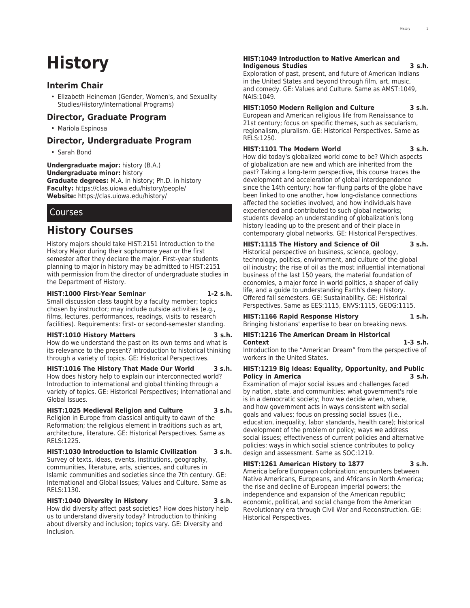# **History**

### **Interim Chair**

• Elizabeth Heineman (Gender, Women's, and Sexuality Studies/History/International Programs)

### **Director, Graduate Program**

• Mariola Espinosa

### **Director, Undergraduate Program**

• Sarah Bond

**Undergraduate major:** history (B.A.) **Undergraduate minor:** history **Graduate degrees:** M.A. in history; Ph.D. in history **Faculty:** <https://clas.uiowa.edu/history/people/> **Website:** <https://clas.uiowa.edu/history/>

### **Courses**

## **History Courses**

History majors should take HIST:2151 Introduction to the History Major during their sophomore year or the first semester after they declare the major. First-year students planning to major in history may be admitted to HIST:2151 with permission from the director of undergraduate studies in the Department of History.

#### **HIST:1000 First-Year Seminar 1-2 s.h.**

Small discussion class taught by a faculty member; topics chosen by instructor; may include outside activities (e.g., films, lectures, performances, readings, visits to research facilities). Requirements: first- or second-semester standing.

#### **HIST:1010 History Matters 3 s.h.**

How do we understand the past on its own terms and what is its relevance to the present? Introduction to historical thinking through a variety of topics. GE: Historical Perspectives.

#### **HIST:1016 The History That Made Our World 3 s.h.**

How does history help to explain our interconnected world? Introduction to international and global thinking through a variety of topics. GE: Historical Perspectives; International and Global Issues.

#### **HIST:1025 Medieval Religion and Culture 3 s.h.**

Religion in Europe from classical antiquity to dawn of the Reformation; the religious element in traditions such as art, architecture, literature. GE: Historical Perspectives. Same as RELS:1225.

#### **HIST:1030 Introduction to Islamic Civilization 3 s.h.** Survey of texts, ideas, events, institutions, geography,

communities, literature, arts, sciences, and cultures in Islamic communities and societies since the 7th century. GE: International and Global Issues; Values and Culture. Same as RELS:1130.

### **HIST:1040 Diversity in History 3 s.h.**

How did diversity affect past societies? How does history help us to understand diversity today? Introduction to thinking about diversity and inclusion; topics vary. GE: Diversity and Inclusion.

#### **HIST:1049 Introduction to Native American and Indigenous Studies 3 s.h.**

Exploration of past, present, and future of American Indians in the United States and beyond through film, art, music, and comedy. GE: Values and Culture. Same as AMST:1049, NAIS:1049.

### **HIST:1050 Modern Religion and Culture 3 s.h.**

European and American religious life from Renaissance to 21st century; focus on specific themes, such as secularism, regionalism, pluralism. GE: Historical Perspectives. Same as RELS:1250.

### **HIST:1101 The Modern World 3 s.h.**

How did today's globalized world come to be? Which aspects of globalization are new and which are inherited from the past? Taking a long-term perspective, this course traces the development and acceleration of global interdependence since the 14th century; how far-flung parts of the globe have been linked to one another, how long-distance connections affected the societies involved, and how individuals have experienced and contributed to such global networks; students develop an understanding of globalization's long history leading up to the present and of their place in contemporary global networks. GE: Historical Perspectives.

### **HIST:1115 The History and Science of Oil 3 s.h.**

Historical perspective on business, science, geology, technology, politics, environment, and culture of the global oil industry; the rise of oil as the most influential international business of the last 150 years, the material foundation of economies, a major force in world politics, a shaper of daily life, and a guide to understanding Earth's deep history. Offered fall semesters. GE: Sustainability. GE: Historical Perspectives. Same as EES:1115, ENVS:1115, GEOG:1115.

#### **HIST:1166 Rapid Response History 1 s.h.** Bringing historians' expertise to bear on breaking news.

**HIST:1216 The American Dream in Historical Context 1-3 s.h.**

Introduction to the "American Dream" from the perspective of workers in the United States.

#### **HIST:1219 Big Ideas: Equality, Opportunity, and Public Policy in America 3 s.h.**

Examination of major social issues and challenges faced by nation, state, and communities; what government's role is in a democratic society; how we decide when, where, and how government acts in ways consistent with social goals and values; focus on pressing social issues (i.e., education, inequality, labor standards, health care); historical development of the problem or policy; ways we address social issues; effectiveness of current policies and alternative policies; ways in which social science contributes to policy design and assessment. Same as SOC:1219.

#### **HIST:1261 American History to 1877 3 s.h.** America before European colonization; encounters between Native Americans, Europeans, and Africans in North America; the rise and decline of European imperial powers; the

independence and expansion of the American republic; economic, political, and social change from the American Revolutionary era through Civil War and Reconstruction. GE: Historical Perspectives.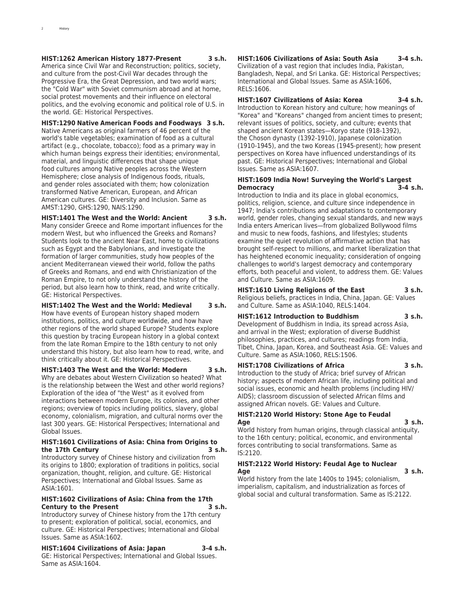#### **HIST:1262 American History 1877-Present 3 s.h.**

America since Civil War and Reconstruction; politics, society, and culture from the post-Civil War decades through the Progressive Era, the Great Depression, and two world wars; the "Cold War" with Soviet communism abroad and at home, social protest movements and their influence on electoral politics, and the evolving economic and political role of U.S. in the world. GE: Historical Perspectives.

**HIST:1290 Native American Foods and Foodways 3 s.h.** Native Americans as original farmers of 46 percent of the world's table vegetables; examination of food as a cultural artifact (e.g., chocolate, tobacco); food as a primary way in which human beings express their identities; environmental, material, and linguistic differences that shape unique food cultures among Native peoples across the Western Hemisphere; close analysis of Indigenous foods, rituals, and gender roles associated with them; how colonization transformed Native American, European, and African American cultures. GE: Diversity and Inclusion. Same as AMST:1290, GHS:1290, NAIS:1290.

**HIST:1401 The West and the World: Ancient 3 s.h.** Many consider Greece and Rome important influences for the modern West, but who influenced the Greeks and Romans? Students look to the ancient Near East, home to civilizations such as Egypt and the Babylonians, and investigate the formation of larger communities, study how peoples of the ancient Mediterranean viewed their world, follow the paths of Greeks and Romans, and end with Christianization of the Roman Empire, to not only understand the history of the period, but also learn how to think, read, and write critically. GE: Historical Perspectives.

**HIST:1402 The West and the World: Medieval 3 s.h.** How have events of European history shaped modern institutions, politics, and culture worldwide, and how have other regions of the world shaped Europe? Students explore this question by tracing European history in a global context from the late Roman Empire to the 18th century to not only understand this history, but also learn how to read, write, and think critically about it. GE: Historical Perspectives.

**HIST:1403 The West and the World: Modern 3 s.h.** Why are debates about Western Civilization so heated? What is the relationship between the West and other world regions? Exploration of the idea of "the West" as it evolved from interactions between modern Europe, its colonies, and other regions; overview of topics including politics, slavery, global economy, colonialism, migration, and cultural norms over the last 300 years. GE: Historical Perspectives; International and Global Issues.

#### **HIST:1601 Civilizations of Asia: China from Origins to the 17th Century 3 s.h.**

Introductory survey of Chinese history and civilization from its origins to 1800; exploration of traditions in politics, social organization, thought, religion, and culture. GE: Historical Perspectives; International and Global Issues. Same as ASIA:1601.

#### **HIST:1602 Civilizations of Asia: China from the 17th Century to the Present 3 s.h.**

Introductory survey of Chinese history from the 17th century to present; exploration of political, social, economics, and culture. GE: Historical Perspectives; International and Global Issues. Same as ASIA:1602.

**HIST:1604 Civilizations of Asia: Japan 3-4 s.h.**

GE: Historical Perspectives; International and Global Issues. Same as ASIA:1604.

**HIST:1606 Civilizations of Asia: South Asia 3-4 s.h.** Civilization of a vast region that includes India, Pakistan, Bangladesh, Nepal, and Sri Lanka. GE: Historical Perspectives; International and Global Issues. Same as ASIA:1606, RELS:1606.

**HIST:1607 Civilizations of Asia: Korea 3-4 s.h.** Introduction to Korean history and culture; how meanings of "Korea" and "Koreans" changed from ancient times to present; relevant issues of politics, society, and culture; events that shaped ancient Korean states—Koryo state (918-1392), the Choson dynasty (1392-1910), Japanese colonization (1910-1945), and the two Koreas (1945-present); how present perspectives on Korea have influenced understandings of its past. GE: Historical Perspectives; International and Global Issues. Same as ASIA:1607.

#### **HIST:1609 India Now! Surveying the World's Largest Democracy 3-4 s.h.**

Introduction to India and its place in global economics, politics, religion, science, and culture since independence in 1947; India's contributions and adaptations to contemporary world, gender roles, changing sexual standards, and new ways India enters American lives—from globalized Bollywood films and music to new foods, fashions, and lifestyles; students examine the quiet revolution of affirmative action that has brought self-respect to millions, and market liberalization that has heightened economic inequality; consideration of ongoing challenges to world's largest democracy and contemporary efforts, both peaceful and violent, to address them. GE: Values and Culture. Same as ASIA:1609.

**HIST:1610 Living Religions of the East 3 s.h.** Religious beliefs, practices in India, China, Japan. GE: Values and Culture. Same as ASIA:1040, RELS:1404.

#### **HIST:1612 Introduction to Buddhism 3 s.h.**

Development of Buddhism in India, its spread across Asia, and arrival in the West; exploration of diverse Buddhist philosophies, practices, and cultures; readings from India, Tibet, China, Japan, Korea, and Southeast Asia. GE: Values and Culture. Same as ASIA:1060, RELS:1506.

#### **HIST:1708 Civilizations of Africa 3 s.h.**

Introduction to the study of Africa; brief survey of African history; aspects of modern African life, including political and social issues, economic and health problems (including HIV/ AIDS); classroom discussion of selected African films and assigned African novels. GE: Values and Culture.

#### **HIST:2120 World History: Stone Age to Feudal Age 3 s.h.**

World history from human origins, through classical antiquity, to the 16th century; political, economic, and environmental forces contributing to social transformations. Same as IS:2120.

#### **HIST:2122 World History: Feudal Age to Nuclear Age 3 s.h.**

World history from the late 1400s to 1945; colonialism, imperialism, capitalism, and industrialization as forces of global social and cultural transformation. Same as IS:2122.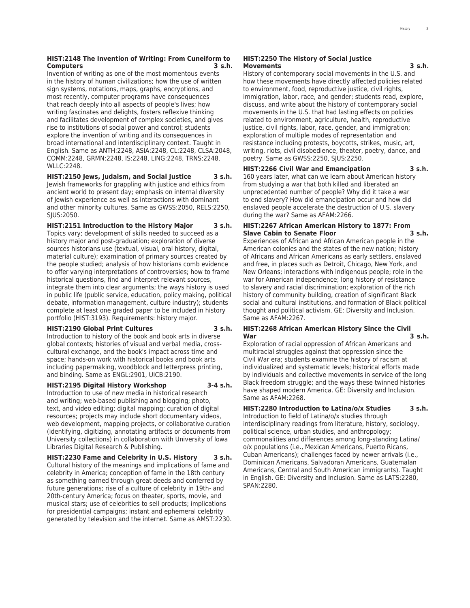#### **HIST:2148 The Invention of Writing: From Cuneiform to Computers 3 s.h.**

Invention of writing as one of the most momentous events in the history of human civilizations; how the use of written sign systems, notations, maps, graphs, encryptions, and most recently, computer programs have consequences that reach deeply into all aspects of people's lives; how writing fascinates and delights, fosters reflexive thinking and facilitates development of complex societies, and gives rise to institutions of social power and control; students explore the invention of writing and its consequences in broad international and interdisciplinary context. Taught in English. Same as ANTH:2248, ASIA:2248, CL:2248, CLSA:2048, COMM:2248, GRMN:2248, IS:2248, LING:2248, TRNS:2248, WLLC:2248.

#### **HIST:2150 Jews, Judaism, and Social Justice 3 s.h.** Jewish frameworks for grappling with justice and ethics from ancient world to present day; emphasis on internal diversity of Jewish experience as well as interactions with dominant and other minority cultures. Same as GWSS:2050, RELS:2250,

SJUS:2050. **HIST:2151 Introduction to the History Major 3 s.h.**

Topics vary; development of skills needed to succeed as a history major and post-graduation; exploration of diverse sources historians use (textual, visual, oral history, digital, material culture); examination of primary sources created by the people studied; analysis of how historians comb evidence to offer varying interpretations of controversies; how to frame historical questions, find and interpret relevant sources, integrate them into clear arguments; the ways history is used in public life (public service, education, policy making, political debate, information management, culture industry); students complete at least one graded paper to be included in history portfolio (HIST:3193). Requirements: history major.

#### **HIST:2190 Global Print Cultures 3 s.h.**

Introduction to history of the book and book arts in diverse global contexts; histories of visual and verbal media, crosscultural exchange, and the book's impact across time and space; hands-on work with historical books and book arts including papermaking, woodblock and letterpress printing, and binding. Same as ENGL:2901, UICB:2190.

#### **HIST:2195 Digital History Workshop 3-4 s.h.**

Introduction to use of new media in historical research and writing; web-based publishing and blogging; photo, text, and video editing; digital mapping; curation of digital resources; projects may include short documentary videos, web development, mapping projects, or collaborative curation (identifying, digitizing, annotating artifacts or documents from University collections) in collaboration with University of Iowa Libraries Digital Research & Publishing.

**HIST:2230 Fame and Celebrity in U.S. History 3 s.h.** Cultural history of the meanings and implications of fame and celebrity in America; conception of fame in the 18th century as something earned through great deeds and conferred by future generations; rise of a culture of celebrity in 19th- and 20th-century America; focus on theater, sports, movie, and musical stars; use of celebrities to sell products; implications for presidential campaigns; instant and ephemeral celebrity generated by television and the internet. Same as AMST:2230.

#### **HIST:2250 The History of Social Justice Movements 3 s.h.**

History of contemporary social movements in the U.S. and how these movements have directly affected policies related to environment, food, reproductive justice, civil rights, immigration, labor, race, and gender; students read, explore, discuss, and write about the history of contemporary social movements in the U.S. that had lasting effects on policies related to environment, agriculture, health, reproductive justice, civil rights, labor, race, gender, and immigration; exploration of multiple modes of representation and resistance including protests, boycotts, strikes, music, art, writing, riots, civil disobedience, theater, poetry, dance, and poetry. Same as GWSS:2250, SJUS:2250.

#### **HIST:2266 Civil War and Emancipation 3 s.h.**

160 years later, what can we learn about American history from studying a war that both killed and liberated an unprecedented number of people? Why did it take a war to end slavery? How did emancipation occur and how did enslaved people accelerate the destruction of U.S. slavery during the war? Same as AFAM:2266.

#### **HIST:2267 African American History to 1877: From Slave Cabin to Senate Floor 3 s.h.**

Experiences of African and African American people in the American colonies and the states of the new nation; history of Africans and African Americans as early settlers, enslaved and free, in places such as Detroit, Chicago, New York, and New Orleans; interactions with Indigenous people; role in the war for American independence; long history of resistance to slavery and racial discrimination; exploration of the rich history of community building, creation of significant Black social and cultural institutions, and formation of Black political thought and political activism. GE: Diversity and Inclusion. Same as AFAM:2267.

#### **HIST:2268 African American History Since the Civil War 3 s.h.**

Exploration of racial oppression of African Americans and multiracial struggles against that oppression since the Civil War era; students examine the history of racism at individualized and systematic levels; historical efforts made by individuals and collective movements in service of the long Black freedom struggle; and the ways these twinned histories have shaped modern America. GE: Diversity and Inclusion. Same as AFAM:2268.

### **HIST:2280 Introduction to Latina/o/x Studies 3 s.h.**

Introduction to field of Latina/o/x studies through interdisciplinary readings from literature, history, sociology, political science, urban studies, and anthropology; commonalities and differences among long-standing Latina/ o/x populations (i.e., Mexican Americans, Puerto Ricans, Cuban Americans); challenges faced by newer arrivals (i.e., Dominican Americans, Salvadoran Americans, Guatemalan Americans, Central and South American immigrants). Taught in English. GE: Diversity and Inclusion. Same as LATS:2280, SPAN:2280.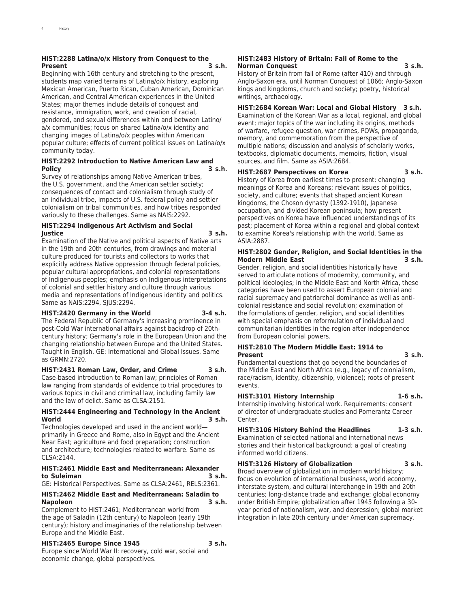#### **HIST:2288 Latina/o/x History from Conquest to the Present 3 s.h.**

Beginning with 16th century and stretching to the present, students map varied terrains of Latina/o/x history, exploring Mexican American, Puerto Rican, Cuban American, Dominican American, and Central American experiences in the United States; major themes include details of conquest and resistance, immigration, work, and creation of racial, gendered, and sexual differences within and between Latino/ a/x communities; focus on shared Latina/o/x identity and changing images of Latina/o/x peoples within American popular culture; effects of current political issues on Latina/o/x community today.

#### **HIST:2292 Introduction to Native American Law and Policy 3 s.h.**

Survey of relationships among Native American tribes, the U.S. government, and the American settler society; consequences of contact and colonialism through study of an individual tribe, impacts of U.S. federal policy and settler colonialism on tribal communities, and how tribes responded variously to these challenges. Same as NAIS:2292.

#### **HIST:2294 Indigenous Art Activism and Social Justice 3 s.h.**

Examination of the Native and political aspects of Native arts in the 19th and 20th centuries, from drawings and material culture produced for tourists and collectors to works that explicitly address Native oppression through federal policies, popular cultural appropriations, and colonial representations of Indigenous peoples; emphasis on Indigenous interpretations of colonial and settler history and culture through various media and representations of Indigenous identity and politics. Same as NAIS:2294, SJUS:2294.

#### **HIST:2420 Germany in the World 3-4 s.h.**

The Federal Republic of Germany's increasing prominence in post-Cold War international affairs against backdrop of 20thcentury history; Germany's role in the European Union and the changing relationship between Europe and the United States. Taught in English. GE: International and Global Issues. Same as GRMN:2720.

**HIST:2431 Roman Law, Order, and Crime 3 s.h.** Case-based introduction to Roman law; principles of Roman law ranging from standards of evidence to trial procedures to various topics in civil and criminal law, including family law and the law of delict. Same as CLSA:2151.

#### **HIST:2444 Engineering and Technology in the Ancient World 3 s.h.**

Technologies developed and used in the ancient world primarily in Greece and Rome, also in Egypt and the Ancient Near East; agriculture and food preparation; construction and architecture; technologies related to warfare. Same as CLSA:2144.

#### **HIST:2461 Middle East and Mediterranean: Alexander to Suleiman 3 s.h.**

GE: Historical Perspectives. Same as CLSA:2461, RELS:2361.

#### **HIST:2462 Middle East and Mediterranean: Saladin to Napoleon 3 s.h.**

Complement to HIST:2461; Mediterranean world from the age of Saladin (12th century) to Napoleon (early 19th century); history and imaginaries of the relationship between Europe and the Middle East.

#### **HIST:2465 Europe Since 1945 3 s.h.**

Europe since World War II: recovery, cold war, social and economic change, global perspectives.

#### **HIST:2483 History of Britain: Fall of Rome to the Norman Conquest 3 s.h.**

History of Britain from fall of Rome (after 410) and through Anglo-Saxon era, until Norman Conquest of 1066; Anglo-Saxon kings and kingdoms, church and society; poetry, historical writings, archaeology.

**HIST:2684 Korean War: Local and Global History 3 s.h.** Examination of the Korean War as a local, regional, and global event; major topics of the war including its origins, methods of warfare, refugee question, war crimes, POWs, propaganda, memory, and commemoration from the perspective of multiple nations; discussion and analysis of scholarly works, textbooks, diplomatic documents, memoirs, fiction, visual sources, and film. Same as ASIA:2684.

#### **HIST:2687 Perspectives on Korea 3 s.h.**

History of Korea from earliest times to present; changing meanings of Korea and Koreans; relevant issues of politics, society, and culture; events that shaped ancient Korean kingdoms, the Choson dynasty (1392-1910), Japanese occupation, and divided Korean peninsula; how present perspectives on Korea have influenced understandings of its past; placement of Korea within a regional and global context to examine Korea's relationship with the world. Same as ASIA:2887.

#### **HIST:2802 Gender, Religion, and Social Identities in the Modern Middle East 3 s.h.**

Gender, religion, and social identities historically have served to articulate notions of modernity, community, and political ideologies; in the Middle East and North Africa, these categories have been used to assert European colonial and racial supremacy and patriarchal dominance as well as anticolonial resistance and social revolution; examination of the formulations of gender, religion, and social identities with special emphasis on reformulation of individual and communitarian identities in the region after independence from European colonial powers.

#### **HIST:2810 The Modern Middle East: 1914 to Present 3 s.h.**

Fundamental questions that go beyond the boundaries of the Middle East and North Africa (e.g., legacy of colonialism, race/racism, identity, citizenship, violence); roots of present events.

#### **HIST:3101 History Internship 1-6 s.h.**

Internship involving historical work. Requirements: consent of director of undergraduate studies and Pomerantz Career Center.

**HIST:3106 History Behind the Headlines 1-3 s.h.** Examination of selected national and international news stories and their historical background; a goal of creating informed world citizens.

**HIST:3126 History of Globalization 3 s.h.**

Broad overview of globalization in modern world history; focus on evolution of international business, world economy, interstate system, and cultural interchange in 19th and 20th centuries; long-distance trade and exchange; global economy under British Empire; globalization after 1945 following a 30 year period of nationalism, war, and depression; global market integration in late 20th century under American supremacy.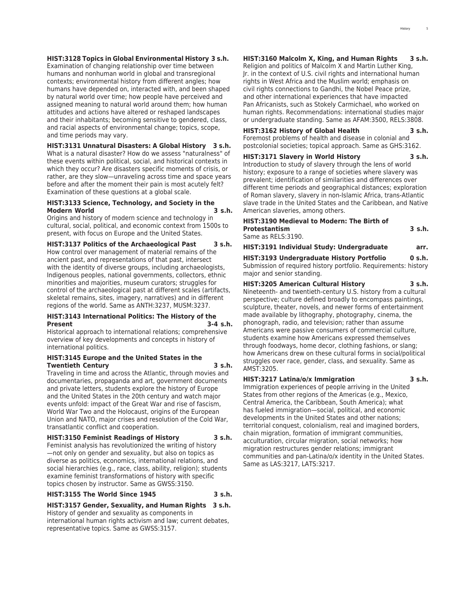#### **HIST:3128 Topics in Global Environmental History 3 s.h.**

Examination of changing relationship over time between humans and nonhuman world in global and transregional contexts; environmental history from different angles; how humans have depended on, interacted with, and been shaped by natural world over time; how people have perceived and assigned meaning to natural world around them; how human attitudes and actions have altered or reshaped landscapes and their inhabitants; becoming sensitive to gendered, class, and racial aspects of environmental change; topics, scope, and time periods may vary.

**HIST:3131 Unnatural Disasters: A Global History 3 s.h.**

What is a natural disaster? How do we assess "naturalness" of these events within political, social, and historical contexts in which they occur? Are disasters specific moments of crisis, or rather, are they slow—unraveling across time and space years before and after the moment their pain is most acutely felt? Examination of these questions at a global scale.

#### **HIST:3133 Science, Technology, and Society in the Modern World 3 s.h.**

Origins and history of modern science and technology in cultural, social, political, and economic context from 1500s to present, with focus on Europe and the United States.

**HIST:3137 Politics of the Archaeological Past 3 s.h.**

How control over management of material remains of the ancient past, and representations of that past, intersect with the identity of diverse groups, including archaeologists, Indigenous peoples, national governments, collectors, ethnic minorities and majorities, museum curators; struggles for control of the archaeological past at different scales (artifacts, skeletal remains, sites, imagery, narratives) and in different regions of the world. Same as ANTH:3237, MUSM:3237.

#### **HIST:3143 International Politics: The History of the Present 3-4 s.h.**

Historical approach to international relations; comprehensive overview of key developments and concepts in history of international politics.

#### **HIST:3145 Europe and the United States in the Twentieth Century 3 s.h.**

Traveling in time and across the Atlantic, through movies and documentaries, propaganda and art, government documents and private letters, students explore the history of Europe and the United States in the 20th century and watch major events unfold: impact of the Great War and rise of fascism, World War Two and the Holocaust, origins of the European Union and NATO, major crises and resolution of the Cold War, transatlantic conflict and cooperation.

**HIST:3150 Feminist Readings of History 3 s.h.**

Feminist analysis has revolutionized the writing of history —not only on gender and sexuality, but also on topics as diverse as politics, economics, international relations, and social hierarchies (e.g., race, class, ability, religion); students examine feminist transformations of history with specific topics chosen by instructor. Same as GWSS:3150.

#### **HIST:3155 The World Since 1945 3 s.h.**

**HIST:3157 Gender, Sexuality, and Human Rights 3 s.h.** History of gender and sexuality as components in

international human rights activism and law; current debates, representative topics. Same as GWSS:3157.

**HIST:3160 Malcolm X, King, and Human Rights 3 s.h.**

Religion and politics of Malcolm X and Martin Luther King, Jr. in the context of U.S. civil rights and international human rights in West Africa and the Muslim world; emphasis on civil rights connections to Gandhi, the Nobel Peace prize, and other international experiences that have impacted Pan Africanists, such as Stokely Carmichael, who worked on human rights. Recommendations: international studies major or undergraduate standing. Same as AFAM:3500, RELS:3808.

#### **HIST:3162 History of Global Health 3 s.h.**

Foremost problems of health and disease in colonial and postcolonial societies; topical approach. Same as GHS:3162.

#### **HIST:3171 Slavery in World History 3 s.h.**

Introduction to study of slavery through the lens of world history; exposure to a range of societies where slavery was prevalent; identification of similarities and differences over different time periods and geographical distances; exploration of Roman slavery, slavery in non-Islamic Africa, trans-Atlantic slave trade in the United States and the Caribbean, and Native American slaveries, among others.

#### **HIST:3190 Medieval to Modern: The Birth of Protestantism 3 s.h.** Same as RELS:3190.

|  | HIST:3191 Individual Study: Undergraduate | arr. |
|--|-------------------------------------------|------|

**HIST:3193 Undergraduate History Portfolio 0 s.h.**

Submission of required history portfolio. Requirements: history major and senior standing.

### **HIST:3205 American Cultural History 3 s.h.**

Nineteenth- and twentieth-century U.S. history from a cultural perspective; culture defined broadly to encompass paintings, sculpture, theater, novels, and newer forms of entertainment made available by lithography, photography, cinema, the phonograph, radio, and television; rather than assume Americans were passive consumers of commercial culture, students examine how Americans expressed themselves through foodways, home decor, clothing fashions, or slang; how Americans drew on these cultural forms in social/political struggles over race, gender, class, and sexuality. Same as AMST:3205.

#### **HIST:3217 Latina/o/x Immigration 3 s.h.**

Immigration experiences of people arriving in the United States from other regions of the Americas (e.g., Mexico, Central America, the Caribbean, South America); what has fueled immigration—social, political, and economic developments in the United States and other nations; territorial conquest, colonialism, real and imagined borders, chain migration, formation of immigrant communities, acculturation, circular migration, social networks; how migration restructures gender relations; immigrant communities and pan-Latina/o/x identity in the United States. Same as LAS:3217, LATS:3217.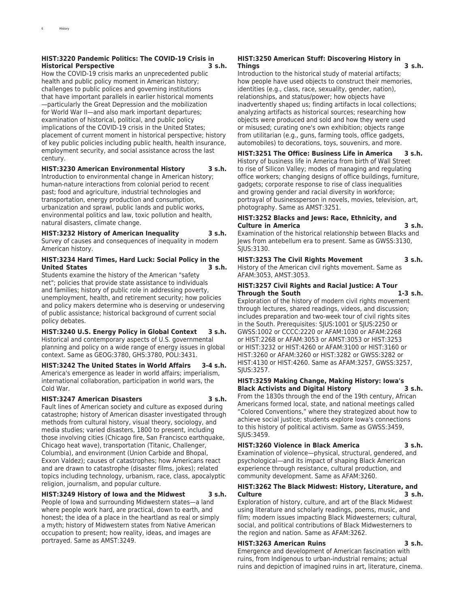#### **HIST:3220 Pandemic Politics: The COVID-19 Crisis in Historical Perspective 3 s.h.**

How the COVID-19 crisis marks an unprecedented public health and public policy moment in American history; challenges to public polices and governing institutions that have important parallels in earlier historical moments —particularly the Great Depression and the mobilization for World War II—and also mark important departures; examination of historical, political, and public policy implications of the COVID-19 crisis in the United States; placement of current moment in historical perspective; history of key public policies including public health, health insurance, employment security, and social assistance across the last century.

#### **HIST:3230 American Environmental History 3 s.h.**

Introduction to environmental change in American history; human-nature interactions from colonial period to recent past; food and agriculture, industrial technologies and transportation, energy production and consumption, urbanization and sprawl, public lands and public works, environmental politics and law, toxic pollution and health, natural disasters, climate change.

### **HIST:3232 History of American Inequality 3 s.h.**

Survey of causes and consequences of inequality in modern American history.

#### **HIST:3234 Hard Times, Hard Luck: Social Policy in the United States 3 s.h.**

Students examine the history of the American "safety net"; policies that provide state assistance to individuals and families; history of public role in addressing poverty, unemployment, health, and retirement security; how policies and policy makers determine who is deserving or undeserving of public assistance; historical background of current social policy debates.

**HIST:3240 U.S. Energy Policy in Global Context 3 s.h.** Historical and contemporary aspects of U.S. governmental planning and policy on a wide range of energy issues in global context. Same as GEOG:3780, GHS:3780, POLI:3431.

#### **HIST:3242 The United States in World Affairs 3-4 s.h.** America's emergence as leader in world affairs; imperialism, international collaboration, participation in world wars, the Cold War.

#### **HIST:3247 American Disasters 3 s.h.**

Fault lines of American society and culture as exposed during catastrophe; history of American disaster investigated through methods from cultural history, visual theory, sociology, and media studies; varied disasters, 1800 to present, including those involving cities (Chicago fire, San Francisco earthquake, Chicago heat wave), transportation (Titanic, Challenger, Columbia), and environment (Union Carbide and Bhopal, Exxon Valdez); causes of catastrophes; how Americans react and are drawn to catastrophe (disaster films, jokes); related topics including technology, urbanism, race, class, apocalyptic religion, journalism, and popular culture.

**HIST:3249 History of Iowa and the Midwest 3 s.h.** People of Iowa and surrounding Midwestern states—a land where people work hard, are practical, down to earth, and honest; the idea of a place in the heartland as real or simply a myth; history of Midwestern states from Native American occupation to present; how reality, ideas, and images are portrayed. Same as AMST:3249.

#### **HIST:3250 American Stuff: Discovering History in Things 3 s.h.**

Introduction to the historical study of material artifacts; how people have used objects to construct their memories, identities (e.g., class, race, sexuality, gender, nation), relationships, and status/power; how objects have inadvertently shaped us; finding artifacts in local collections; analyzing artifacts as historical sources; researching how objects were produced and sold and how they were used or misused; curating one's own exhibition; objects range from utilitarian (e.g., guns, farming tools, office gadgets, automobiles) to decorations, toys, souvenirs, and more.

### **HIST:3251 The Office: Business Life in America 3 s.h.**

History of business life in America from birth of Wall Street to rise of Silicon Valley; modes of managing and regulating office workers; changing designs of office buildings, furniture, gadgets; corporate response to rise of class inequalities and growing gender and racial diversity in workforce; portrayal of businessperson in novels, movies, television, art, photography. Same as AMST:3251.

#### **HIST:3252 Blacks and Jews: Race, Ethnicity, and Culture in America 3 s.h.**

Examination of the historical relationship between Blacks and Jews from antebellum era to present. Same as GWSS:3130, SJUS:3130.

### **HIST:3253 The Civil Rights Movement 3 s.h.**

History of the American civil rights movement. Same as AFAM:3053, AMST:3053.

### **HIST:3257 Civil Rights and Racial Justice: A Tour Through the South 1-3 s.h.**

Exploration of the history of modern civil rights movement through lectures, shared readings, videos, and discussion; includes preparation and two-week tour of civil rights sites in the South. Prerequisites: SJUS:1001 or SJUS:2250 or GWSS:1002 or CCCC:2220 or AFAM:1030 or AFAM:2268 or HIST:2268 or AFAM:3053 or AMST:3053 or HIST:3253 or HIST:3232 or HIST:4260 or AFAM:3100 or HIST:3160 or HIST:3260 or AFAM:3260 or HIST:3282 or GWSS:3282 or HIST:4130 or HIST:4260. Same as AFAM:3257, GWSS:3257, SJUS:3257.

#### **HIST:3259 Making Change, Making History: Iowa's Black Activists and Digital History 3 s.h.** From the 1830s through the end of the 19th century, African

Americans formed local, state, and national meetings called "Colored Conventions," where they strategized about how to achieve social justice; students explore Iowa's connections to this history of political activism. Same as GWSS:3459, SJUS:3459.

#### **HIST:3260 Violence in Black America 3 s.h.**

Examination of violence—physical, structural, gendered, and psychological—and its impact of shaping Black American experience through resistance, cultural production, and community development. Same as AFAM:3260.

#### **HIST:3262 The Black Midwest: History, Literature, and Culture 3 s.h.**

Exploration of history, culture, and art of the Black Midwest using literature and scholarly readings, poems, music, and film; modern issues impacting Black Midwesterners; cultural, social, and political contributions of Black Midwesterners to the region and nation. Same as AFAM:3262.

#### **HIST:3263 American Ruins 3 s.h.**

Emergence and development of American fascination with ruins, from Indigenous to urban-industrial remains; actual ruins and depiction of imagined ruins in art, literature, cinema.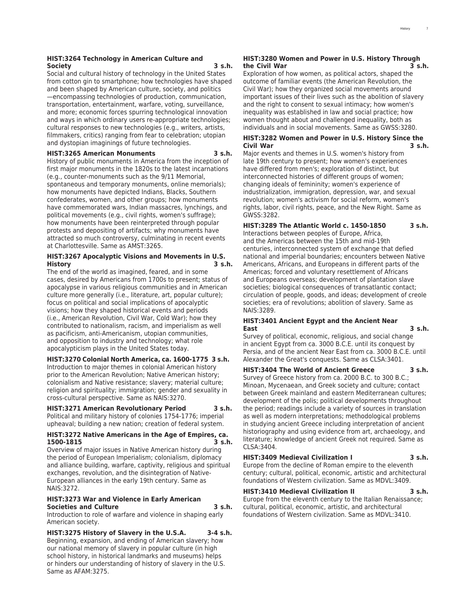#### **HIST:3264 Technology in American Culture and Society 3 s.h.**

Social and cultural history of technology in the United States from cotton gin to smartphone; how technologies have shaped and been shaped by American culture, society, and politics —encompassing technologies of production, communication, transportation, entertainment, warfare, voting, surveillance, and more; economic forces spurring technological innovation and ways in which ordinary users re-appropriate technologies; cultural responses to new technologies (e.g., writers, artists, filmmakers, critics) ranging from fear to celebration; utopian and dystopian imaginings of future technologies.

#### **HIST:3265 American Monuments 3 s.h.**

History of public monuments in America from the inception of first major monuments in the 1820s to the latest incarnations (e.g., counter-monuments such as the 9/11 Memorial, spontaneous and temporary monuments, online memorials); how monuments have depicted Indians, Blacks, Southern confederates, women, and other groups; how monuments have commemorated wars, Indian massacres, lynchings, and political movements (e.g., civil rights, women's suffrage); how monuments have been reinterpreted through popular protests and depositing of artifacts; why monuments have attracted so much controversy, culminating in recent events at Charlottesville. Same as AMST:3265.

#### **HIST:3267 Apocalyptic Visions and Movements in U.S. History 3 s.h.**

The end of the world as imagined, feared, and in some cases, desired by Americans from 1700s to present; status of apocalypse in various religious communities and in American culture more generally (i.e., literature, art, popular culture); focus on political and social implications of apocalyptic visions; how they shaped historical events and periods (i.e., American Revolution, Civil War, Cold War); how they contributed to nationalism, racism, and imperialism as well as pacificism, anti-Americanism, utopian communities, and opposition to industry and technology; what role apocalypticism plays in the United States today.

#### **HIST:3270 Colonial North America, ca. 1600-1775 3 s.h.**

Introduction to major themes in colonial American history prior to the American Revolution; Native American history; colonialism and Native resistance; slavery; material culture; religion and spirituality; immigration; gender and sexuality in cross-cultural perspective. Same as NAIS:3270.

#### **HIST:3271 American Revolutionary Period 3 s.h.**

Political and military history of colonies 1754-1776; imperial upheaval; building a new nation; creation of federal system.

#### **HIST:3272 Native Americans in the Age of Empires, ca. 1500-1815 3 s.h.**

Overview of major issues in Native American history during the period of European Imperialism; colonialism, diplomacy and alliance building, warfare, captivity, religious and spiritual exchanges, revolution, and the disintegration of Native-European alliances in the early 19th century. Same as NAIS:3272.

#### **HIST:3273 War and Violence in Early American Societies and Culture 3 s.h.**

Introduction to role of warfare and violence in shaping early American society.

**HIST:3275 History of Slavery in the U.S.A. 3-4 s.h.** Beginning, expansion, and ending of American slavery; how our national memory of slavery in popular culture (in high school history, in historical landmarks and museums) helps or hinders our understanding of history of slavery in the U.S. Same as AFAM:3275.

#### **HIST:3280 Women and Power in U.S. History Through the Civil War 3 s.h.**

Exploration of how women, as political actors, shaped the outcome of familiar events (the American Revolution, the Civil War); how they organized social movements around important issues of their lives such as the abolition of slavery and the right to consent to sexual intimacy; how women's inequality was established in law and social practice; how women thought about and challenged inequality, both as individuals and in social movements. Same as GWSS:3280.

#### **HIST:3282 Women and Power in U.S. History Since the Civil War 3 s.h.**

Major events and themes in U.S. women's history from late 19th century to present; how women's experiences have differed from men's; exploration of distinct, but interconnected histories of different groups of women; changing ideals of femininity; women's experience of industrialization, immigration, depression, war, and sexual revolution; women's activism for social reform, women's rights, labor, civil rights, peace, and the New Right. Same as GWSS:3282.

**HIST:3289 The Atlantic World c. 1450-1850 3 s.h.** Interactions between peoples of Europe, Africa, and the Americas between the 15th and mid-19th centuries, interconnected system of exchange that defied national and imperial boundaries; encounters between Native Americans, Africans, and Europeans in different parts of the Americas; forced and voluntary resettlement of Africans and Europeans overseas; development of plantation slave societies; biological consequences of transatlantic contact; circulation of people, goods, and ideas; development of creole societies; era of revolutions; abolition of slavery. Same as NAIS:3289.

#### **HIST:3401 Ancient Egypt and the Ancient Near East 3 s.h.**

Survey of political, economic, religious, and social change in ancient Egypt from ca. 3000 B.C.E. until its conquest by Persia, and of the ancient Near East from ca. 3000 B.C.E. until Alexander the Great's conquests. Same as CLSA:3401.

**HIST:3404 The World of Ancient Greece 3 s.h.** Survey of Greece history from ca. 2000 B.C. to 300 B.C.; Minoan, Mycenaean, and Greek society and culture; contact between Greek mainland and eastern Mediterranean cultures; development of the polis; political developments throughout the period; readings include a variety of sources in translation as well as modern interpretations; methodological problems in studying ancient Greece including interpretation of ancient historiography and using evidence from art, archaeology, and literature; knowledge of ancient Greek not required. Same as  $CI SA:3404$ 

#### **HIST:3409 Medieval Civilization I 3 s.h.**

Europe from the decline of Roman empire to the eleventh century; cultural, political, economic, artistic and architectural foundations of Western civilization. Same as MDVL:3409.

#### **HIST:3410 Medieval Civilization II 3 s.h.**

Europe from the eleventh century to the Italian Renaissance; cultural, political, economic, artistic, and architectural foundations of Western civilization. Same as MDVL:3410.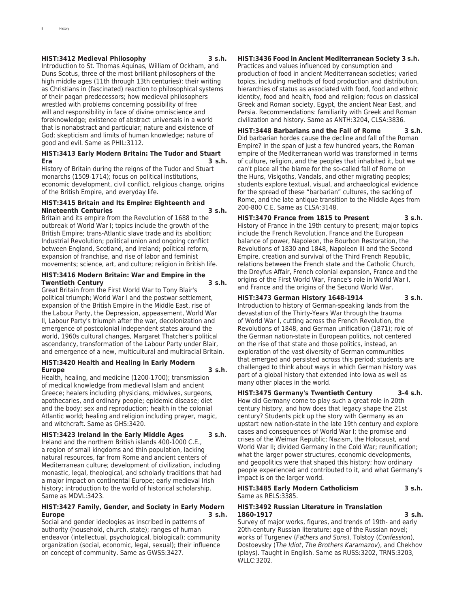#### **HIST:3412 Medieval Philosophy 3 s.h.**

Introduction to St. Thomas Aquinas, William of Ockham, and Duns Scotus, three of the most brilliant philosophers of the high middle ages (11th through 13th centuries); their writing as Christians in (fascinated) reaction to philosophical systems of their pagan predecessors; how medieval philosophers wrestled with problems concerning possibility of free will and responsibility in face of divine omniscience and foreknowledge; existence of abstract universals in a world that is nonabstract and particular; nature and existence of God; skepticism and limits of human knowledge; nature of good and evil. Same as PHIL:3112.

#### **HIST:3413 Early Modern Britain: The Tudor and Stuart Era 3 s.h.**

History of Britain during the reigns of the Tudor and Stuart monarchs (1509-1714); focus on political institutions, economic development, civil conflict, religious change, origins of the British Empire, and everyday life.

#### **HIST:3415 Britain and Its Empire: Eighteenth and Nineteenth Centuries 3 s.h.**

Britain and its empire from the Revolution of 1688 to the outbreak of World War I; topics include the growth of the British Empire; trans-Atlantic slave trade and its abolition; Industrial Revolution; political union and ongoing conflict between England, Scotland, and Ireland; political reform, expansion of franchise, and rise of labor and feminist movements; science, art, and culture; religion in British life.

#### **HIST:3416 Modern Britain: War and Empire in the Twentieth Century 3 s.h.**

Great Britain from the First World War to Tony Blair's political triumph; World War I and the postwar settlement, expansion of the British Empire in the Middle East, rise of the Labour Party, the Depression, appeasement, World War II, Labour Party's triumph after the war, decolonization and emergence of postcolonial independent states around the world, 1960s cultural changes, Margaret Thatcher's political ascendancy, transformation of the Labour Party under Blair, and emergence of a new, multicultural and multiracial Britain.

#### **HIST:3420 Health and Healing in Early Modern Europe 3 s.h.**

Health, healing, and medicine (1200-1700); transmission of medical knowledge from medieval Islam and ancient Greece; healers including physicians, midwives, surgeons, apothecaries, and ordinary people; epidemic disease; diet and the body; sex and reproduction; health in the colonial Atlantic world; healing and religion including prayer, magic, and witchcraft. Same as GHS:3420.

#### **HIST:3423 Ireland in the Early Middle Ages 3 s.h.**

Ireland and the northern British islands 400-1000 C.E., a region of small kingdoms and thin population, lacking natural resources, far from Rome and ancient centers of Mediterranean culture; development of civilization, including monastic, legal, theological, and scholarly traditions that had a major impact on continental Europe; early medieval Irish history; introduction to the world of historical scholarship. Same as MDVL:3423.

#### **HIST:3427 Family, Gender, and Society in Early Modern Europe 3 s.h.**

Social and gender ideologies as inscribed in patterns of authority (household, church, state); ranges of human endeavor (intellectual, psychological, biological); community organization (social, economic, legal, sexual); their influence on concept of community. Same as GWSS:3427.

#### **HIST:3436 Food in Ancient Mediterranean Society 3 s.h.**

Practices and values influenced by consumption and production of food in ancient Mediterranean societies; varied topics, including methods of food production and distribution, hierarchies of status as associated with food, food and ethnic identity, food and health, food and religion; focus on classical Greek and Roman society, Egypt, the ancient Near East, and Persia. Recommendations: familiarity with Greek and Roman civilization and history. Same as ANTH:3204, CLSA:3836.

**HIST:3448 Barbarians and the Fall of Rome 3 s.h.** Did barbarian hordes cause the decline and fall of the Roman Empire? In the span of just a few hundred years, the Roman empire of the Mediterranean world was transformed in terms of culture, religion, and the peoples that inhabited it, but we can't place all the blame for the so-called fall of Rome on the Huns, Visigoths, Vandals, and other migrating peoples; students explore textual, visual, and archaeological evidence for the spread of these "barbarian" cultures, the sacking of Rome, and the late antique transition to the Middle Ages from 200-800 C.E. Same as CLSA:3148.

#### **HIST:3470 France from 1815 to Present 3 s.h.** History of France in the 19th century to present; major topics include the French Revolution, France and the European balance of power, Napoleon, the Bourbon Restoration, the Revolutions of 1830 and 1848, Napoleon III and the Second Empire, creation and survival of the Third French Republic, relations between the French state and the Catholic Church, the Dreyfus Affair, French colonial expansion, France and the origins of the First World War, France's role in World War I, and France and the origins of the Second World War.

**HIST:3473 German History 1648-1914 3 s.h.** Introduction to history of German-speaking lands from the devastation of the Thirty-Years War through the trauma of World War I, cutting across the French Revolution, the Revolutions of 1848, and German unification (1871); role of the German nation-state in European politics, not centered on the rise of that state and those politics, instead, an exploration of the vast diversity of German communities that emerged and persisted across this period; students are challenged to think about ways in which German history was part of a global history that extended into Iowa as well as many other places in the world.

**HIST:3475 Germany's Twentieth Century 3-4 s.h.** How did Germany come to play such a great role in 20th century history, and how does that legacy shape the 21st century? Students pick up the story with Germany as an upstart new nation-state in the late 19th century and explore cases and consequences of World War I; the promise and crises of the Weimar Republic; Nazism, the Holocaust, and World War II; divided Germany in the Cold War; reunification; what the larger power structures, economic developments, and geopolitics were that shaped this history; how ordinary people experienced and contributed to it, and what Germany's impact is on the larger world.

#### **HIST:3485 Early Modern Catholicism 3 s.h.** Same as RELS:3385.

#### **HIST:3492 Russian Literature in Translation 1860-1917 3 s.h.**

Survey of major works, figures, and trends of 19th- and early 20th-century Russian literature; age of the Russian novel; works of Turgenev (*Fathers and Sons*), Tolstoy (*Confession*), Dostoevsky (*The Idiot*, *The Brothers Karamazov*), and Chekhov (plays). Taught in English. Same as RUSS:3202, TRNS:3203, WLLC:3202.

**History**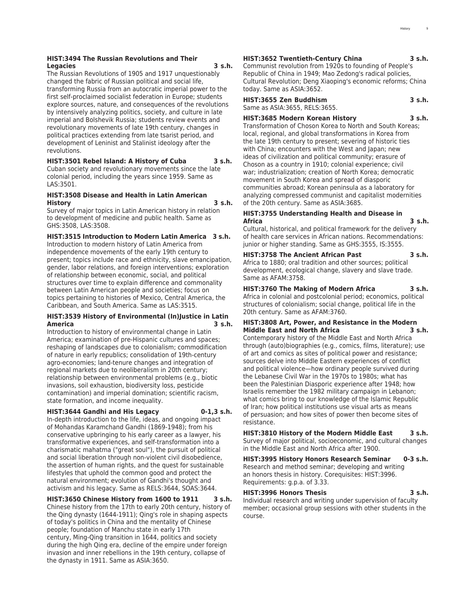#### **HIST:3494 The Russian Revolutions and Their Legacies 3 s.h.**

The Russian Revolutions of 1905 and 1917 unquestionably changed the fabric of Russian political and social life, transforming Russia from an autocratic imperial power to the first self-proclaimed socialist federation in Europe; students explore sources, nature, and consequences of the revolutions by intensively analyzing politics, society, and culture in late imperial and Bolshevik Russia; students review events and revolutionary movements of late 19th century, changes in political practices extending from late tsarist period, and development of Leninist and Stalinist ideology after the revolutions.

#### **HIST:3501 Rebel Island: A History of Cuba 3 s.h.**

Cuban society and revolutionary movements since the late colonial period, including the years since 1959. Same as LAS:3501.

#### **HIST:3508 Disease and Health in Latin American History 3 s.h.**

Survey of major topics in Latin American history in relation to development of medicine and public health. Same as GHS:3508, LAS:3508.

**HIST:3515 Introduction to Modern Latin America 3 s.h.**

Introduction to modern history of Latin America from independence movements of the early 19th century to present; topics include race and ethnicity, slave emancipation, gender, labor relations, and foreign interventions; exploration of relationship between economic, social, and political structures over time to explain difference and commonality between Latin American people and societies; focus on topics pertaining to histories of Mexico, Central America, the Caribbean, and South America. Same as LAS:3515.

#### **HIST:3539 History of Environmental (In)Justice in Latin America 3 s.h.**

Introduction to history of environmental change in Latin America; examination of pre-Hispanic cultures and spaces; reshaping of landscapes due to colonialism; commodification of nature in early republics; consolidation of 19th-century agro-economies; land-tenure changes and integration of regional markets due to neoliberalism in 20th century; relationship between environmental problems (e.g., biotic invasions, soil exhaustion, biodiversity loss, pesticide contamination) and imperial domination; scientific racism, state formation, and income inequality.

#### **HIST:3644 Gandhi and His Legacy 0-1,3 s.h.**

In-depth introduction to the life, ideas, and ongoing impact of Mohandas Karamchand Gandhi (1869-1948); from his conservative upbringing to his early career as a lawyer, his transformative experiences, and self-transformation into a charismatic mahatma ("great soul"), the pursuit of political and social liberation through non-violent civil disobedience, the assertion of human rights, and the quest for sustainable lifestyles that uphold the common good and protect the natural environment; evolution of Gandhi's thought and activism and his legacy. Same as RELS:3644, SOAS:3644.

**HIST:3650 Chinese History from 1600 to 1911 3 s.h.** Chinese history from the 17th to early 20th century, history of the Qing dynasty (1644-1911); Qing's role in shaping aspects of today's politics in China and the mentality of Chinese people; foundation of Manchu state in early 17th century, Ming-Qing transition in 1644, politics and society during the high Qing era, decline of the empire under foreign invasion and inner rebellions in the 19th century, collapse of the dynasty in 1911. Same as ASIA:3650.

#### **HIST:3652 Twentieth-Century China 3 s.h.**

Communist revolution from 1920s to founding of People's Republic of China in 1949; Mao Zedong's radical policies, Cultural Revolution; Deng Xiaoping's economic reforms; China today. Same as ASIA:3652.

**HIST:3655 Zen Buddhism 3 s.h.** Same as ASIA:3655, RELS:3655.

**HIST:3685 Modern Korean History 3 s.h.** Transformation of Choson Korea to North and South Koreas; local, regional, and global transformations in Korea from the late 19th century to present; severing of historic ties with China; encounters with the West and Japan; new ideas of civilization and political community; erasure of Choson as a country in 1910; colonial experience; civil war; industrialization; creation of North Korea; democratic movement in South Korea and spread of diasporic communities abroad; Korean peninsula as a laboratory for analyzing compressed communist and capitalist modernities of the 20th century. Same as ASIA:3685.

#### **HIST:3755 Understanding Health and Disease in Africa 3 s.h.**

Cultural, historical, and political framework for the delivery of health care services in African nations. Recommendations: junior or higher standing. Same as GHS:3555, IS:3555.

#### **HIST:3758 The Ancient African Past 3 s.h.**

Africa to 1880; oral tradition and other sources; political development, ecological change, slavery and slave trade. Same as AFAM:3758.

**HIST:3760 The Making of Modern Africa 3 s.h.**

Africa in colonial and postcolonial period; economics, political structures of colonialism; social change, political life in the 20th century. Same as AFAM:3760.

#### **HIST:3808 Art, Power, and Resistance in the Modern Middle East and North Africa 3 s.h.**

Contemporary history of the Middle East and North Africa through (auto)biographies (e.g., comics, films, literature); use of art and comics as sites of political power and resistance; sources delve into Middle Eastern experiences of conflict and political violence—how ordinary people survived during the Lebanese Civil War in the 1970s to 1980s; what has been the Palestinian Diasporic experience after 1948; how Israelis remember the 1982 military campaign in Lebanon; what comics bring to our knowledge of the Islamic Republic of Iran; how political institutions use visual arts as means of persuasion; and how sites of power then become sites of resistance.

**HIST:3810 History of the Modern Middle East 3 s.h.** Survey of major political, socioeconomic, and cultural changes in the Middle East and North Africa after 1900.

**HIST:3995 History Honors Research Seminar 0-3 s.h.** Research and method seminar; developing and writing an honors thesis in history. Corequisites: HIST:3996. Requirements: g.p.a. of 3.33.

#### **HIST:3996 Honors Thesis 3 s.h.**

Individual research and writing under supervision of faculty member; occasional group sessions with other students in the course.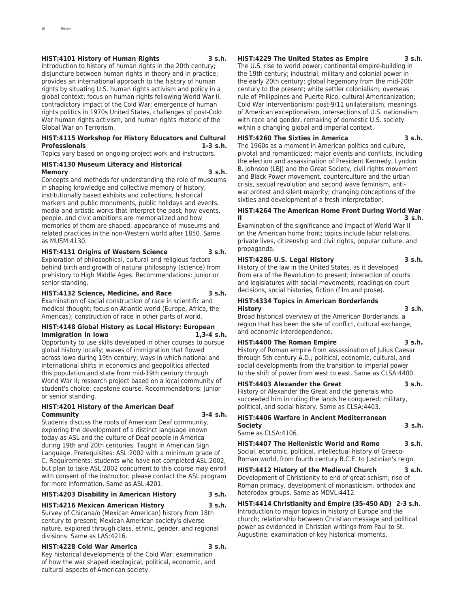#### **HIST:4101 History of Human Rights 3 s.h.**

Introduction to history of human rights in the 20th century; disjuncture between human rights in theory and in practice; provides an international approach to the history of human rights by situating U.S. human rights activism and policy in a global context; focus on human rights following World War II, contradictory impact of the Cold War; emergence of human rights politics in 1970s United States, challenges of post-Cold War human rights activism, and human rights rhetoric of the Global War on Terrorism.

#### **HIST:4115 Workshop for History Educators and Cultural Professionals 1-3 s.h.**

Topics vary based on ongoing project work and instructors.

#### **HIST:4130 Museum Literacy and Historical Memory 3 s.h.**

Concepts and methods for understanding the role of museums in shaping knowledge and collective memory of history; institutionally based exhibits and collections, historical markers and public monuments, public holidays and events, media and artistic works that interpret the past; how events, people, and civic ambitions are memorialized and how memories of them are shaped; appearance of museums and related practices in the non-Western world after 1850. Same as MUSM:4130.

### **HIST:4131 Origins of Western Science 3 s.h.**

Exploration of philosophical, cultural and religious factors behind birth and growth of natural philosophy (science) from prehistory to High Middle Ages. Recommendations: junior or senior standing.

#### **HIST:4132 Science, Medicine, and Race 3 s.h.**

Examination of social construction of race in scientific and medical thought; focus on Atlantic world (Europe, Africa, the Americas); construction of race in other parts of world.

#### **HIST:4148 Global History as Local History: European Immigration in Iowa**

Opportunity to use skills developed in other courses to pursue global history locally; waves of immigration that flowed across Iowa during 19th century; ways in which national and international shifts in economics and geopolitics affected this population and state from mid-19th century through World War II; research project based on a local community of student's choice; capstone course. Recommendations: junior or senior standing.

#### **HIST:4201 History of the American Deaf Community 3-4 s.h.**

Students discuss the roots of American Deaf community, exploring the development of a distinct language known today as ASL and the culture of Deaf people in America during 19th and 20th centuries. Taught in American Sign Language. Prerequisites: ASL:2002 with a minimum grade of C. Requirements: students who have not completed ASL:2002, but plan to take ASL:2002 concurrent to this course may enroll with consent of the instructor; please contact the ASL program for more information. Same as ASL:4201.

#### **HIST:4203 Disability in American History 3 s.h.**

**HIST:4216 Mexican American History 3 s.h.** Survey of Chicana/o (Mexican American) history from 18th century to present; Mexican American society's diverse nature, explored through class, ethnic, gender, and regional divisions. Same as LAS:4216.

#### **HIST:4228 Cold War America 3 s.h.**

Key historical developments of the Cold War; examination of how the war shaped ideological, political, economic, and cultural aspects of American society.

#### **HIST:4229 The United States as Empire 3 s.h.**

The U.S. rise to world power; continental empire-building in the 19th century; industrial, military and colonial power in the early 20th century; global hegemony from the mid-20th century to the present; white settler colonialism; overseas rule of Philippines and Puerto Rico; cultural Americanization; Cold War interventionism; post-9/11 unilateralism; meanings of American exceptionalism, intersections of U.S. nationalism with race and gender, remaking of domestic U.S. society within a changing global and imperial context.

#### **HIST:4260 The Sixties in America 3 s.h.**

The 1960s as a moment in American politics and culture, pivotal and romanticized; major events and conflicts, including the election and assassination of President Kennedy, Lyndon B. Johnson (LBJ) and the Great Society, civil rights movement and Black Power movement, counterculture and the urban crisis, sexual revolution and second wave feminism, antiwar protest and silent majority; changing conceptions of the sixties and development of a fresh interpretation.

#### **HIST:4264 The American Home Front During World War II 3 s.h.**

Examination of the significance and impact of World War II on the American home front; topics include labor relations, private lives, citizenship and civil rights, popular culture, and propaganda.

#### **HIST:4286 U.S. Legal History 3 s.h.**

History of the law in the United States, as it developed from era of the Revolution to present; interaction of courts and legislatures with social movements; readings on court decisions, social histories, fiction (film and prose).

#### **HIST:4334 Topics in American Borderlands History 3 s.h.**

Broad historical overview of the American Borderlands, a region that has been the site of conflict, cultural exchange, and economic interdependence.

#### **HIST:4400 The Roman Empire 3 s.h.**

History of Roman empire from assassination of Julius Caesar through 5th century A.D.; political, economic, cultural, and social developments from the transition to imperial power to the shift of power from west to east. Same as CLSA:4400.

### **HIST:4403 Alexander the Great 3 s.h.**

History of Alexander the Great and the generals who succeeded him in ruling the lands he conquered; military, political, and social history. Same as CLSA:4403.

**HIST:4406 Warfare in Ancient Mediterranean Society 3 s.h.** Same as CLSA:4106.

**HIST:4407 The Hellenistic World and Rome 3 s.h.** Social, economic, political, intellectual history of Graeco-Roman world, from fourth century B.C.E. to Justinian's reign.

**HIST:4412 History of the Medieval Church 3 s.h.** Development of Christianity to end of great schism; rise of Roman primacy, development of monasticism, orthodox and heterodox groups. Same as MDVL:4412.

**HIST:4414 Christianity and Empire (35-450 AD) 2-3 s.h.** Introduction to major topics in history of Europe and the church; relationship between Christian message and political power as evidenced in Christian writings from Paul to St. Augustine; examination of key historical moments.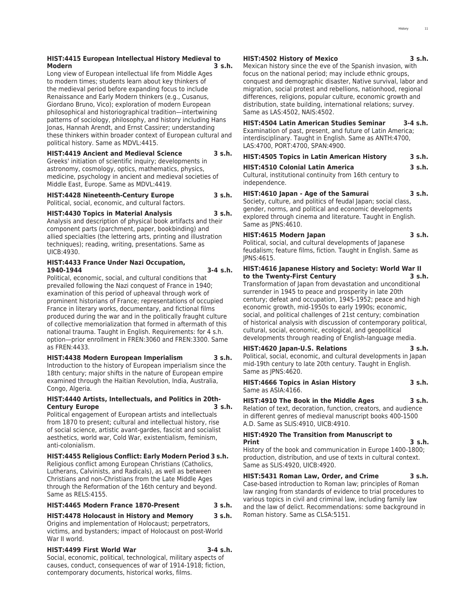#### **HIST:4415 European Intellectual History Medieval to Modern 3 s.h.**

Long view of European intellectual life from Middle Ages to modern times; students learn about key thinkers of the medieval period before expanding focus to include Renaissance and Early Modern thinkers (e.g., Cusanus, Giordano Bruno, Vico); exploration of modern European philosophical and historiographical tradition—intertwining patterns of sociology, philosophy, and history including Hans Jonas, Hannah Arendt, and Ernst Cassirer; understanding these thinkers within broader context of European cultural and political history. Same as MDVL:4415.

#### **HIST:4419 Ancient and Medieval Science 3 s.h.**

Greeks' initiation of scientific inquiry; developments in astronomy, cosmology, optics, mathematics, physics, medicine, psychology in ancient and medieval societies of Middle East, Europe. Same as MDVL:4419.

#### **HIST:4428 Nineteenth-Century Europe 3 s.h.** Political, social, economic, and cultural factors.

#### **HIST:4430 Topics in Material Analysis 3 s.h.**

Analysis and description of physical book artifacts and their component parts (parchment, paper, bookbinding) and allied specialties (the lettering arts, printing and illustration techniques); reading, writing, presentations. Same as UICB:4930.

#### **HIST:4433 France Under Nazi Occupation, 1940-1944 3-4 s.h.**

Political, economic, social, and cultural conditions that prevailed following the Nazi conquest of France in 1940; examination of this period of upheaval through work of prominent historians of France; representations of occupied France in literary works, documentary, and fictional films produced during the war and in the politically fraught culture of collective memorialization that formed in aftermath of this national trauma. Taught in English. Requirements: for 4 s.h. option—prior enrollment in FREN:3060 and FREN:3300. Same as FREN:4433.

#### **HIST:4438 Modern European Imperialism 3 s.h.**

Introduction to the history of European imperialism since the 18th century; major shifts in the nature of European empire examined through the Haitian Revolution, India, Australia, Congo, Algeria.

#### **HIST:4440 Artists, Intellectuals, and Politics in 20th-Century Europe 3 s.h.**

Political engagement of European artists and intellectuals from 1870 to present; cultural and intellectual history, rise of social science, artistic avant-gardes, fascist and socialist aesthetics, world war, Cold War, existentialism, feminism, anti-colonialism.

#### **HIST:4455 Religious Conflict: Early Modern Period 3 s.h.**

Religious conflict among European Christians (Catholics, Lutherans, Calvinists, and Radicals), as well as between Christians and non-Christians from the Late Middle Ages through the Reformation of the 16th century and beyond. Same as RELS:4155.

### **HIST:4465 Modern France 1870-Present 3 s.h.**

### **HIST:4478 Holocaust in History and Memory 3 s.h.**

Origins and implementation of Holocaust; perpetrators, victims, and bystanders; impact of Holocaust on post-World War II world.

#### **HIST:4499 First World War 3-4 s.h.**

Social, economic, political, technological, military aspects of causes, conduct, consequences of war of 1914-1918; fiction, contemporary documents, historical works, films.

#### **HIST:4502 History of Mexico 3 s.h.**

Mexican history since the eve of the Spanish invasion, with focus on the national period; may include ethnic groups, conquest and demographic disaster, Native survival, labor and migration, social protest and rebellions, nationhood, regional differences, religions, popular culture, economic growth and distribution, state building, international relations; survey. Same as LAS:4502, NAIS:4502.

### **HIST:4504 Latin American Studies Seminar 3-4 s.h.**

Examination of past, present, and future of Latin America; interdisciplinary. Taught in English. Same as ANTH:4700, LAS:4700, PORT:4700, SPAN:4900.

### **HIST:4505 Topics in Latin American History 3 s.h.**

**HIST:4510 Colonial Latin America 3 s.h.** Cultural, institutional continuity from 16th century to independence.

### **HIST:4610 Japan - Age of the Samurai 3 s.h.**

Society, culture, and politics of feudal Japan; social class, gender, norms, and political and economic developments explored through cinema and literature. Taught in English. Same as JPNS:4610.

### **HIST:4615 Modern Japan 3 s.h.**

Political, social, and cultural developments of Japanese feudalism; feature films, fiction. Taught in English. Same as JPNS:4615.

#### **HIST:4616 Japanese History and Society: World War II to the Twenty-First Century 3 s.h.**

Transformation of Japan from devastation and unconditional surrender in 1945 to peace and prosperity in late 20th century; defeat and occupation, 1945-1952; peace and high economic growth, mid-1950s to early 1990s; economic, social, and political challenges of 21st century; combination of historical analysis with discussion of contemporary political, cultural, social, economic, ecological, and geopolitical developments through reading of English-language media.

## **HIST:4620 Japan-U.S. Relations 3 s.h.**

Political, social, economic, and cultural developments in Japan mid-19th century to late 20th century. Taught in English. Same as JPNS:4620.

#### **HIST:4666 Topics in Asian History 3 s.h.** Same as ASIA:4166.

**HIST:4910 The Book in the Middle Ages 3 s.h.**

Relation of text, decoration, function, creators, and audience in different genres of medieval manuscript books 400-1500 A.D. Same as SLIS:4910, UICB:4910.

#### **HIST:4920 The Transition from Manuscript to Print 3 s.h.**

History of the book and communication in Europe 1400-1800; production, distribution, and use of texts in cultural context. Same as SLIS:4920, UICB:4920.

#### **HIST:5431 Roman Law, Order, and Crime 3 s.h.** Case-based introduction to Roman law; principles of Roman law ranging from standards of evidence to trial procedures to various topics in civil and criminal law, including family law and the law of delict. Recommendations: some background in Roman history. Same as CLSA:5151.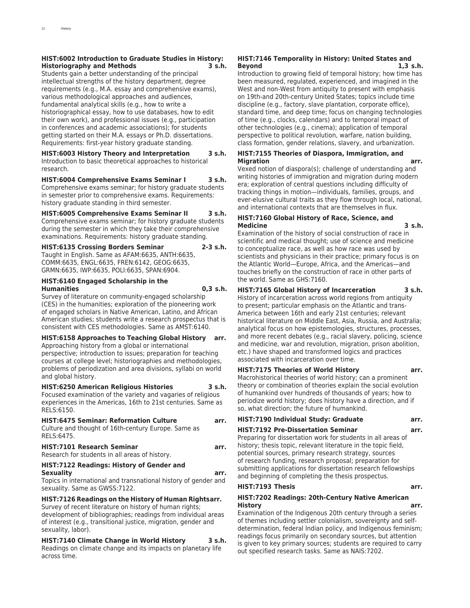#### **HIST:6002 Introduction to Graduate Studies in History: Historiography and Methods 3 s.h.**

Students gain a better understanding of the principal intellectual strengths of the history department, degree requirements (e.g., M.A. essay and comprehensive exams), various methodological approaches and audiences, fundamental analytical skills (e.g., how to write a historiographical essay, how to use databases, how to edit their own work), and professional issues (e.g., participation in conferences and academic associations); for students getting started on their M.A. essays or Ph.D. dissertations. Requirements: first-year history graduate standing.

#### **HIST:6003 History Theory and Interpretation 3 s.h.**

Introduction to basic theoretical approaches to historical research.

#### **HIST:6004 Comprehensive Exams Seminar I 3 s.h.**

Comprehensive exams seminar; for history graduate students in semester prior to comprehensive exams. Requirements: history graduate standing in third semester.

### **HIST:6005 Comprehensive Exams Seminar II 3 s.h.**

Comprehensive exams seminar; for history graduate students during the semester in which they take their comprehensive examinations. Requirements: history graduate standing.

### **HIST:6135 Crossing Borders Seminar 2-3 s.h.** Taught in English. Same as AFAM:6635, ANTH:6635,

COMM:6635, ENGL:6635, FREN:6142, GEOG:6635, GRMN:6635, IWP:6635, POLI:6635, SPAN:6904.

#### **HIST:6140 Engaged Scholarship in the Humanities 0,3 s.h.**

Survey of literature on community-engaged scholarship (CES) in the humanities; exploration of the pioneering work

of engaged scholars in Native American, Latino, and African American studies; students write a research prospectus that is consistent with CES methodologies. Same as AMST:6140.

### **HIST:6158 Approaches to Teaching Global History arr.**

Approaching history from a global or international perspective; introduction to issues; preparation for teaching courses at college level; historiographies and methodologies, problems of periodization and area divisions, syllabi on world and global history.

#### **HIST:6250 American Religious Histories 3 s.h.**

Focused examination of the variety and vagaries of religious experiences in the Americas, 16th to 21st centuries. Same as RELS:6150.

#### **HIST:6475 Seminar: Reformation Culture arr.**

Culture and thought of 16th-century Europe. Same as RELS:6475.

#### **HIST:7101 Research Seminar arr.**

Research for students in all areas of history.

#### **HIST:7122 Readings: History of Gender and Sexuality arr.**

Topics in international and transnational history of gender and sexuality. Same as GWSS:7122.

### **HIST:7126 Readings on the History of Human Rightsarr.**

Survey of recent literature on history of human rights; development of bibliographies; readings from individual areas of interest (e.g., transitional justice, migration, gender and sexuality, labor).

### **HIST:7140 Climate Change in World History 3 s.h.**

Readings on climate change and its impacts on planetary life across time.

#### **HIST:7146 Temporality in History: United States and Beyond 1,3 s.h.**

Introduction to growing field of temporal history; how time has been measured, regulated, experienced, and imagined in the West and non-West from antiquity to present with emphasis on 19th-and 20th-century United States; topics include time discipline (e.g., factory, slave plantation, corporate office), standard time, and deep time; focus on changing technologies of time (e.g., clocks, calendars) and to temporal impact of other technologies (e.g., cinema); application of temporal perspective to political revolution, warfare, nation building, class formation, gender relations, slavery, and urbanization.

#### **HIST:7155 Theories of Diaspora, Immigration, and Migration arr.**

Vexed notion of diaspora(s); challenge of understanding and writing histories of immigration and migration during modern era; exploration of central questions including difficulty of tracking things in motion—individuals, families, groups, and ever-elusive cultural traits as they flow through local, national, and international contexts that are themselves in flux.

#### **HIST:7160 Global History of Race, Science, and Medicine 3 s.h.**

Examination of the history of social construction of race in scientific and medical thought; use of science and medicine to conceptualize race, as well as how race was used by scientists and physicians in their practice; primary focus is on the Atlantic World—Europe, Africa, and the Americas—and touches briefly on the construction of race in other parts of the world. Same as GHS:7160.

### **HIST:7165 Global History of Incarceration 3 s.h.**

History of incarceration across world regions from antiquity to present; particular emphasis on the Atlantic and trans-America between 16th and early 21st centuries; relevant historical literature on Middle East, Asia, Russia, and Australia; analytical focus on how epistemologies, structures, processes, and more recent debates (e.g., racial slavery, policing, science and medicine, war and revolution, migration, prison abolition, etc.) have shaped and transformed logics and practices associated with incarceration over time.

#### **HIST:7175 Theories of World History arr.**

Macrohistorical theories of world history; can a prominent theory or combination of theories explain the social evolution of humankind over hundreds of thousands of years; how to periodize world history; does history have a direction, and if so, what direction; the future of humankind.

#### **HIST:7190 Individual Study: Graduate arr.**

#### **HIST:7192 Pre-Dissertation Seminar arr.**

Preparing for dissertation work for students in all areas of history; thesis topic, relevant literature in the topic field, potential sources, primary research strategy, sources of research funding, research proposal; preparation for submitting applications for dissertation research fellowships and beginning of completing the thesis prospectus.

#### **HIST:7193 Thesis arr.**

#### **HIST:7202 Readings: 20th-Century Native American History arr.**

Examination of the Indigenous 20th century through a series of themes including settler colonialism, sovereignty and selfdetermination, federal Indian policy, and Indigenous feminism; readings focus primarily on secondary sources, but attention is given to key primary sources; students are required to carry out specified research tasks. Same as NAIS:7202.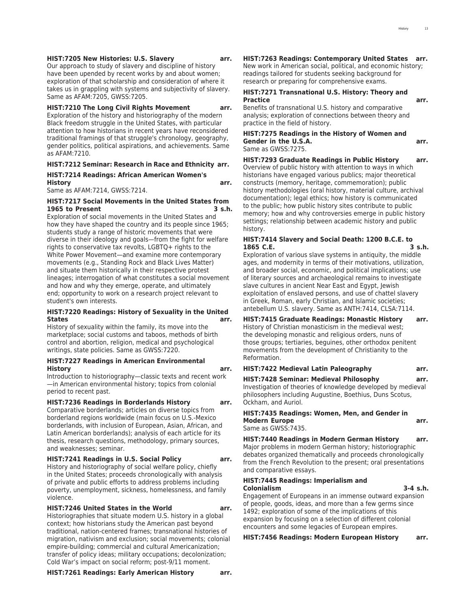#### **HIST:7205 New Histories: U.S. Slavery arr.**

Our approach to study of slavery and discipline of history have been upended by recent works by and about women; exploration of that scholarship and consideration of where it takes us in grappling with systems and subjectivity of slavery. Same as AFAM:7205, GWSS:7205.

#### **HIST:7210 The Long Civil Rights Movement arr.**

Exploration of the history and historiography of the modern Black freedom struggle in the United States, with particular attention to how historians in recent years have reconsidered traditional framings of that struggle's chronology, geography, gender politics, political aspirations, and achievements. Same as AFAM:7210.

#### **HIST:7212 Seminar: Research in Race and Ethnicity arr. HIST:7214 Readings: African American Women's**

**History arr.**

Same as AFAM:7214, GWSS:7214.

#### **HIST:7217 Social Movements in the United States from 1965 to Present 3 s.h.**

Exploration of social movements in the United States and how they have shaped the country and its people since 1965; students study a range of historic movements that were diverse in their ideology and goals—from the fight for welfare rights to conservative tax revolts, LGBTQ+ rights to the White Power Movement—and examine more contemporary movements (e.g., Standing Rock and Black Lives Matter) and situate them historically in their respective protest lineages; interrogation of what constitutes a social movement and how and why they emerge, operate, and ultimately end; opportunity to work on a research project relevant to student's own interests.

#### **HIST:7220 Readings: History of Sexuality in the United States arr.**

History of sexuality within the family, its move into the marketplace; social customs and taboos, methods of birth control and abortion, religion, medical and psychological writings, state policies. Same as GWSS:7220.

#### **HIST:7227 Readings in American Environmental History arr.**

Introduction to historiography—classic texts and recent work —in American environmental history; topics from colonial period to recent past.

#### **HIST:7236 Readings in Borderlands History arr.**

Comparative borderlands; articles on diverse topics from borderland regions worldwide (main focus on U.S.-Mexico borderlands, with inclusion of European, Asian, African, and Latin American borderlands); analysis of each article for its thesis, research questions, methodology, primary sources, and weaknesses; seminar.

#### **HIST:7241 Readings in U.S. Social Policy arr.**

History and historiography of social welfare policy, chiefly in the United States; proceeds chronologically with analysis of private and public efforts to address problems including poverty, unemployment, sickness, homelessness, and family violence.

#### **HIST:7246 United States in the World arr.**

Historiographies that situate modern U.S. history in a global context; how historians study the American past beyond traditional, nation-centered frames; transnational histories of migration, nativism and exclusion; social movements; colonial empire-building; commercial and cultural Americanization; transfer of policy ideas; military occupations; decolonization; Cold War's impact on social reform; post-9/11 moment.

### **HIST:7263 Readings: Contemporary United States arr.**

New work in American social, political, and economic history; readings tailored for students seeking background for research or preparing for comprehensive exams.

#### **HIST:7271 Transnational U.S. History: Theory and Practice arr.**

Benefits of transnational U.S. history and comparative analysis; exploration of connections between theory and practice in the field of history.

#### **HIST:7275 Readings in the History of Women and Gender in the U.S.A. arr.** Same as GWSS:7275.

**HIST:7293 Graduate Readings in Public History arr.** Overview of public history with attention to ways in which historians have engaged various publics; major theoretical constructs (memory, heritage, commemoration); public history methodologies (oral history, material culture, archival documentation); legal ethics; how history is communicated to the public; how public history sites contribute to public memory; how and why controversies emerge in public history settings; relationship between academic history and public history.

#### **HIST:7414 Slavery and Social Death: 1200 B.C.E. to 1865 C.E. 3 s.h.**

Exploration of various slave systems in antiquity, the middle ages, and modernity in terms of their motivations, utilization, and broader social, economic, and political implications; use of literary sources and archaeological remains to investigate slave cultures in ancient Near East and Egypt, Jewish exploitation of enslaved persons, and use of chattel slavery in Greek, Roman, early Christian, and Islamic societies; antebellum U.S. slavery. Same as ANTH:7414, CLSA:7114.

**HIST:7415 Graduate Readings: Monastic History arr.** History of Christian monasticism in the medieval west; the developing monastic and religious orders, nuns of those groups; tertiaries, beguines, other orthodox penitent movements from the development of Christianity to the Reformation.

**HIST:7422 Medieval Latin Paleography arr.**

**HIST:7428 Seminar: Medieval Philosophy arr.** Investigation of theories of knowledge developed by medieval philosophers including Augustine, Boethius, Duns Scotus, Ockham, and Auriol.

### **HIST:7435 Readings: Women, Men, and Gender in Modern Europe arr.**

Same as GWSS:7435. **HIST:7440 Readings in Modern German History arr.** Major problems in modern German history; historiographic debates organized thematically and proceeds chronologically from the French Revolution to the present; oral presentations

#### **HIST:7445 Readings: Imperialism and Colonialism 3-4 s.h.**

and comparative essays.

Engagement of Europeans in an immense outward expansion of people, goods, ideas, and more than a few germs since 1492; exploration of some of the implications of this expansion by focusing on a selection of different colonial encounters and some legacies of European empires.

**HIST:7456 Readings: Modern European History arr.**